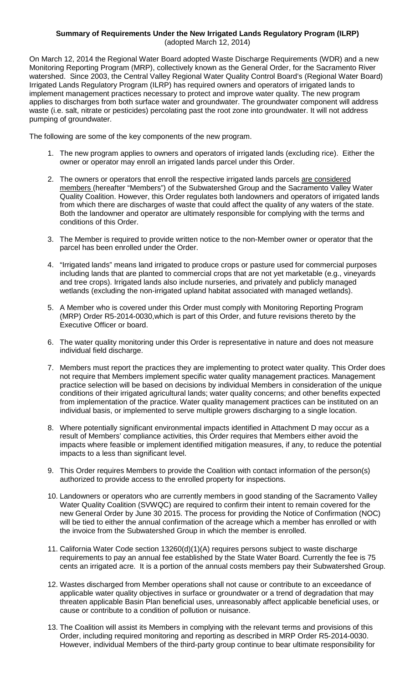## **Summary of Requirements Under the New Irrigated Lands Regulatory Program (ILRP)** (adopted March 12, 2014)

On March 12, 2014 the Regional Water Board adopted Waste Discharge Requirements (WDR) and a new Monitoring Reporting Program (MRP), collectively known as the General Order, for the Sacramento River watershed. Since 2003, the Central Valley Regional Water Quality Control Board's (Regional Water Board) Irrigated Lands Regulatory Program (ILRP) has required owners and operators of irrigated lands to implement management practices necessary to protect and improve water quality. The new program applies to discharges from both surface water and groundwater. The groundwater component will address waste (i.e. salt, nitrate or pesticides) percolating past the root zone into groundwater. It will not address pumping of groundwater.

The following are some of the key components of the new program.

- 1. The new program applies to owners and operators of irrigated lands (excluding rice). Either the owner or operator may enroll an irrigated lands parcel under this Order.
- 2. The owners or operators that enroll the respective irrigated lands parcels are considered <u>members (</u>hereafter "Members") of the Subwatershed Group and the Sacramento Valley Water Quality Coalition. However, this Order regulates both landowners and operators of irrigated lands from which there are discharges of waste that could affect the quality of any waters of the state. Both the landowner and operator are ultimately responsible for complying with the terms and conditions of this Order.
- 3. The Member is required to provide written notice to the non-Member owner or operator that the parcel has been enrolled under the Order.
- 4. "Irrigated lands" means land irrigated to produce crops or pasture used for commercial purposes including lands that are planted to commercial crops that are not yet marketable (e.g., vineyards and tree crops). Irrigated lands also include nurseries, and privately and publicly managed wetlands (excluding the non-irrigated upland habitat associated with managed wetlands).
- 5. A Member who is covered under this Order must comply with Monitoring Reporting Program (MRP) Order R5-2014-0030,which is part of this Order, and future revisions thereto by the Executive Officer or board.
- 6. The water quality monitoring under this Order is representative in nature and does not measure individual field discharge.
- 7. Members must report the practices they are implementing to protect water quality. This Order does not require that Members implement specific water quality management practices. Management practice selection will be based on decisions by individual Members in consideration of the unique conditions of their irrigated agricultural lands; water quality concerns; and other benefits expected from implementation of the practice. Water quality management practices can be instituted on an individual basis, or implemented to serve multiple growers discharging to a single location.
- 8. Where potentially significant environmental impacts identified in Attachment D may occur as a result of Members' compliance activities, this Order requires that Members either avoid the impacts where feasible or implement identified mitigation measures, if any, to reduce the potential impacts to a less than significant level.
- 9. This Order requires Members to provide the Coalition with contact information of the person(s) authorized to provide access to the enrolled property for inspections.
- 10. Landowners or operators who are currently members in good standing of the Sacramento Valley Water Quality Coalition (SVWQC) are required to confirm their intent to remain covered for the new General Order by June 30 2015. The process for providing the Notice of Confirmation (NOC) will be tied to either the annual confirmation of the acreage which a member has enrolled or with the invoice from the Subwatershed Group in which the member is enrolled.
- 11. California Water Code section 13260(d)(1)(A) requires persons subject to waste discharge requirements to pay an annual fee established by the State Water Board. Currently the fee is 75 cents an irrigated acre. It is a portion of the annual costs members pay their Subwatershed Group.
- 12. Wastes discharged from Member operations shall not cause or contribute to an exceedance of applicable water quality objectives in surface or groundwater or a trend of degradation that may threaten applicable Basin Plan beneficial uses, unreasonably affect applicable beneficial uses, or cause or contribute to a condition of pollution or nuisance.
- 13. The Coalition will assist its Members in complying with the relevant terms and provisions of this Order, including required monitoring and reporting as described in MRP Order R5-2014-0030. However, individual Members of the third-party group continue to bear ultimate responsibility for